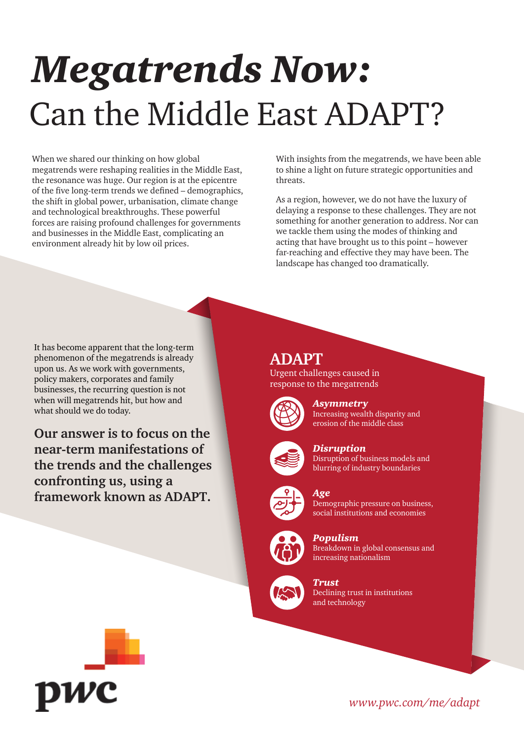# *Megatrends Now:* Can the Middle East ADAPT?

When we shared our thinking on how global megatrends were reshaping realities in the Middle East, the resonance was huge. Our region is at the epicentre of the five long-term trends we defined – demographics, the shift in global power, urbanisation, climate change and technological breakthroughs. These powerful forces are raising profound challenges for governments and businesses in the Middle East, complicating an environment already hit by low oil prices.

With insights from the megatrends, we have been able to shine a light on future strategic opportunities and threats.

As a region, however, we do not have the luxury of delaying a response to these challenges. They are not something for another generation to address. Nor can we tackle them using the modes of thinking and acting that have brought us to this point – however far-reaching and effective they may have been. The landscape has changed too dramatically.

It has become apparent that the long-term phenomenon of the megatrends is already upon us. As we work with governments, policy makers, corporates and family businesses, the recurring question is not when will megatrends hit, but how and what should we do today.

**Our answer is to focus on the near-term manifestations of the trends and the challenges confronting us, using a framework known as ADAPT.**

**ADAPT**

Urgent challenges caused in response to the megatrends



*Asymmetry* Increasing wealth disparity and erosion of the middle class



### *Disruption* Disruption of business models and

blurring of industry boundaries



### *Age*

Demographic pressure on business, social institutions and economies



*Populism* Breakdown in global consensus and increasing nationalism



*Trust* Declining trust in institutions and technology



*www.pwc.com/me/adapt*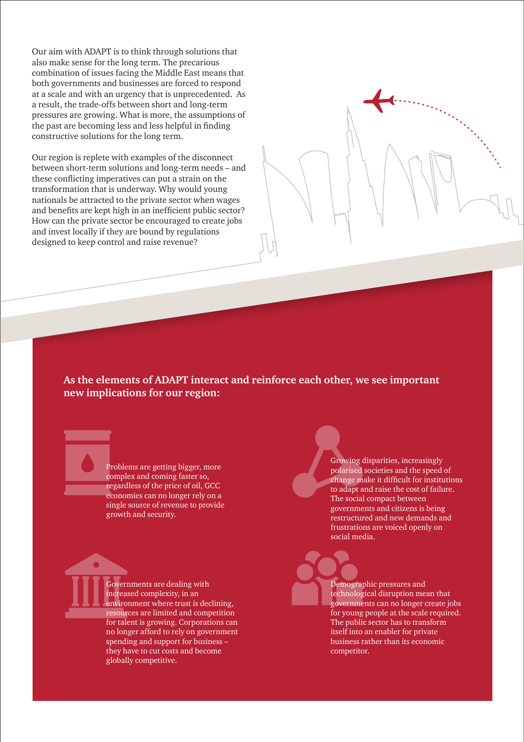Our aim with ADAPT is to think through solutions that also make sense for the long term. The precarious combination of issues facing the Middle East means that both governments and businesses are forced to respond at a scale and with an urgency that is unprecedented. As a result, the trade-offs between short and long-term pressures are growing. What is more, the assumptions of the past are becoming less and less helpful in finding constructive solutions for the long term.

Our region is replete with examples of the disconnect between short-term solutions and long-term needs – and these conflicting imperatives can put a strain on the transformation that is underway. Why would young nationals be attracted to the private sector when wages and benefits are kept high in an inefficient public sector? How can the private sector be encouraged to create jobs and invest locally if they are bound by regulations designed to keep control and raise revenue?

### **As the elements of ADAPT interact and reinforce each other, we see important new implications for our region:**

Problems are getting bigger, more complex and coming faster so, regardless of the price of oil, GCC economies can no longer rely on a single source of revenue to provide growth and security.

Governments are dealing with increased complexity, in an environment where trust is declining, resources are limited and competition for talent is growing. Corporations can no longer afford to rely on government spending and support for business – they have to cut costs and become globally competitive.

Growing disparities, increasingly polarised societies and the speed of change make it difficult for institutions to adapt and raise the cost of failure. The social compact between governments and citizens is being restructured and new demands and frustrations are voiced openly on social media.

Demographic pressures and technological disruption mean that governments can no longer create jobs for young people at the scale required. The public sector has to transform itself into an enabler for private business rather than its economic competitor.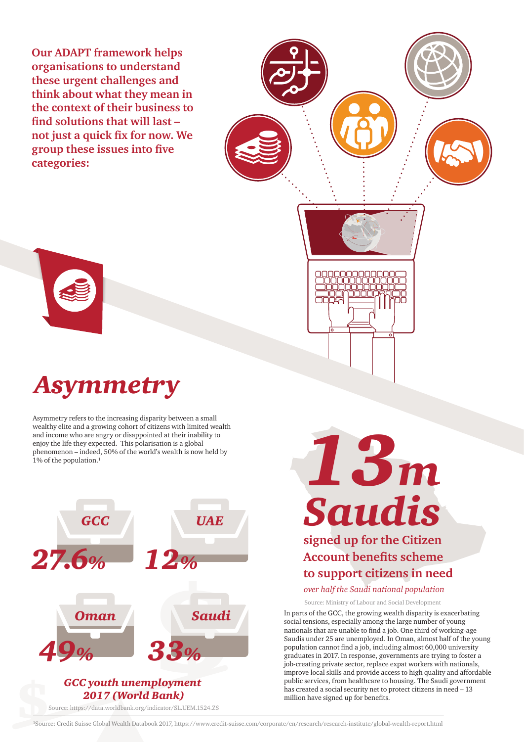**Our ADAPT framework helps organisations to understand these urgent challenges and think about what they mean in the context of their business to find solutions that will last – not just a quick fix for now. We group these issues into five categories:**



Asymmetry refers to the increasing disparity between a small wealthy elite and a growing cohort of citizens with limited wealth and income who are angry or disappointed at their inability to enjoy the life they expected. This polarisation is a global phenomenon – indeed, 50% of the world's wealth is now held by  $1\%$  of the population.<sup>1</sup>



#### Source: https://data.worldbank.org/indicator/SL.UEM.1524.ZS



*Saudis* **signed up for the Citizen Account benefits scheme to support citizens in need**

*13m*

*over half the Saudi national population*

Source: Ministry of Labour and Social Development

In parts of the GCC, the growing wealth disparity is exacerbating social tensions, especially among the large number of young nationals that are unable to find a job. One third of working-age Saudis under 25 are unemployed. In Oman, almost half of the young population cannot find a job, including almost 60,000 university graduates in 2017. In response, governments are trying to foster a job-creating private sector, replace expat workers with nationals, improve local skills and provide access to high quality and affordable public services, from healthcare to housing. The Saudi government has created a social security net to protect citizens in need – 13 million have signed up for benefits.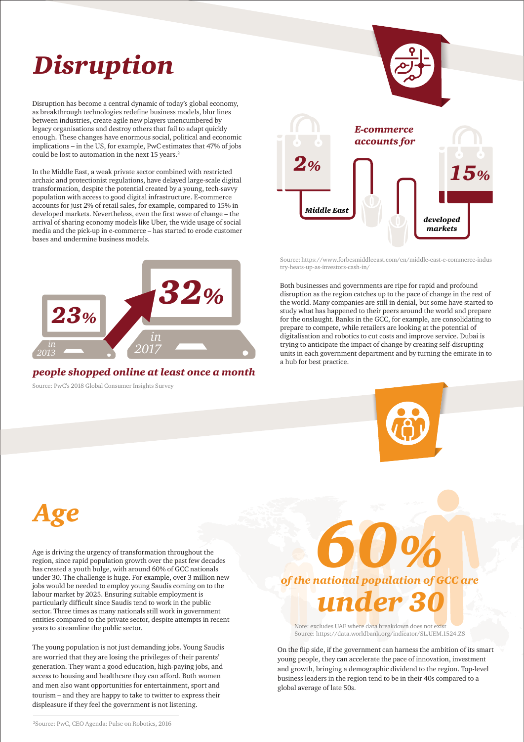# *Disruption*

Disruption has become a central dynamic of today's global economy, as breakthrough technologies redefine business models, blur lines between industries, create agile new players unencumbered by legacy organisations and destroy others that fail to adapt quickly enough. These changes have enormous social, political and economic implications – in the US, for example, PwC estimates that 47% of jobs could be lost to automation in the next 15 years.<sup>2</sup>

In the Middle East, a weak private sector combined with restricted archaic and protectionist regulations, have delayed large-scale digital transformation, despite the potential created by a young, tech-savvy population with access to good digital infrastructure. E-commerce accounts for just 2% of retail sales, for example, compared to 15% in developed markets. Nevertheless, even the first wave of change – the arrival of sharing economy models like Uber, the wide usage of social media and the pick-up in e-commerce – has started to erode customer bases and undermine business models.



*people shopped online at least once a month* Source: PwC's 2018 Global Consumer Insights Survey

Both businesses and governments are ripe for rapid and profound *15% 2% Middle East developed markets* Source: https://www.forbesmiddleeast.com/en/middle-east-e-commerce-indus try-heats-up-as-investors-cash-in/

disruption as the region catches up to the pace of change in the rest of the world. Many companies are still in denial, but some have started to study what has happened to their peers around the world and prepare for the onslaught. Banks in the GCC, for example, are consolidating to prepare to compete, while retailers are looking at the potential of digitalisation and robotics to cut costs and improve service. Dubai is trying to anticipate the impact of change by creating self-disrupting units in each government department and by turning the emirate in to a hub for best practice.



*Age*

Age is driving the urgency of transformation throughout the region, since rapid population growth over the past few decades has created a youth bulge, with around 60% of GCC nationals under 30. The challenge is huge. For example, over 3 million new jobs would be needed to employ young Saudis coming on to the labour market by 2025. Ensuring suitable employment is particularly difficult since Saudis tend to work in the public sector. Three times as many nationals still work in government entities compared to the private sector, despite attempts in recent years to streamline the public sector.

The young population is not just demanding jobs. Young Saudis are worried that they are losing the privileges of their parents' generation. They want a good education, high-paying jobs, and access to housing and healthcare they can afford. Both women and men also want opportunities for entertainment, sport and tourism – and they are happy to take to twitter to express their displeasure if they feel the government is not listening.

*of the national population of GCC are 60% under 30* 

Note: excludes UAE where data breakdown does not exist Source: https://data.worldbank.org/indicator/SL.UEM.1524.ZS

On the flip side, if the government can harness the ambition of its smart young people, they can accelerate the pace of innovation, investment and growth, bringing a demographic dividend to the region. Top-level business leaders in the region tend to be in their 40s compared to a global average of late 50s.

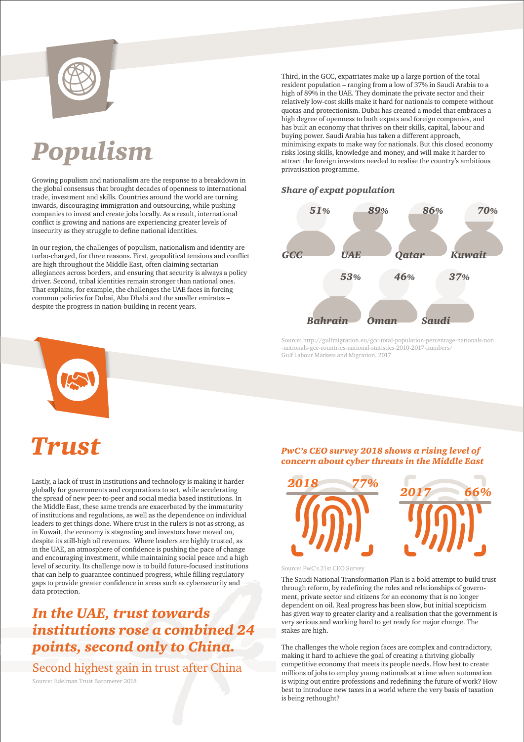

# *Populism*

Growing populism and nationalism are the response to a breakdown in the global consensus that brought decades of openness to international trade, investment and skills. Countries around the world are turning inwards, discouraging immigration and outsourcing, while pushing companies to invest and create jobs locally. As a result, international conflict is growing and nations are experiencing greater levels of insecurity as they struggle to define national identities.

In our region, the challenges of populism, nationalism and identity are turbo-charged, for three reasons. First, geopolitical tensions and conflict are high throughout the Middle East, often claiming sectarian allegiances across borders, and ensuring that security is always a policy driver. Second, tribal identities remain stronger than national ones. That explains, for example, the challenges the UAE faces in forcing common policies for Dubai, Abu Dhabi and the smaller emirates – despite the progress in nation-building in recent years.

Third, in the GCC, expatriates make up a large portion of the total resident population – ranging from a low of 37% in Saudi Arabia to a high of 89% in the UAE. They dominate the private sector and their relatively low-cost skills make it hard for nationals to compete without quotas and protectionism. Dubai has created a model that embraces a high degree of openness to both expats and foreign companies, and has built an economy that thrives on their skills, capital, labour and buying power. Saudi Arabia has taken a different approach, minimising expats to make way for nationals. But this closed economy risks losing skills, knowledge and money, and will make it harder to attract the foreign investors needed to realise the country's ambitious privatisation programme.

### *Share of expat population*



Source: http://gulfmigration.eu/gcc-total-population-percentage-nationals-non -nationals-gcc-countries-national-statistics-2010-2017-numbers/ Gulf Labour Markets and Migration, 2017



## *Trust*

Lastly, a lack of trust in institutions and technology is making it harder globally for governments and corporations to act, while accelerating the spread of new peer-to-peer and social media based institutions. In the Middle East, these same trends are exacerbated by the immaturity of institutions and regulations, as well as the dependence on individual leaders to get things done. Where trust in the rulers is not as strong, as in Kuwait, the economy is stagnating and investors have moved on, despite its still-high oil revenues. Where leaders are highly trusted, as in the UAE, an atmosphere of confidence is pushing the pace of change and encouraging investment, while maintaining social peace and a high level of security. Its challenge now is to build future-focused institutions that can help to guarantee continued progress, while filling regulatory gaps to provide greater confidence in areas such as cybersecurity and data protection.

### *In the UAE, trust towards institutions rose a combined 24 points, second only to China.*

Second highest gain in trust after China Source: Edelman Trust Barometer 2018

#### *PwC's CEO survey 2018 shows a rising level of concern about cyber threats in the Middle East*



Source: PwC's 21st CEO Survey

The Saudi National Transformation Plan is a bold attempt to build trust through reform, by redefining the roles and relationships of government, private sector and citizens for an economy that is no longer dependent on oil. Real progress has been slow, but initial scepticism has given way to greater clarity and a realisation that the government is very serious and working hard to get ready for major change. The stakes are high.

The challenges the whole region faces are complex and contradictory, making it hard to achieve the goal of creating a thriving globally competitive economy that meets its people needs. How best to create millions of jobs to employ young nationals at a time when automation is wiping out entire professions and redefining the future of work? How best to introduce new taxes in a world where the very basis of taxation is being rethought?